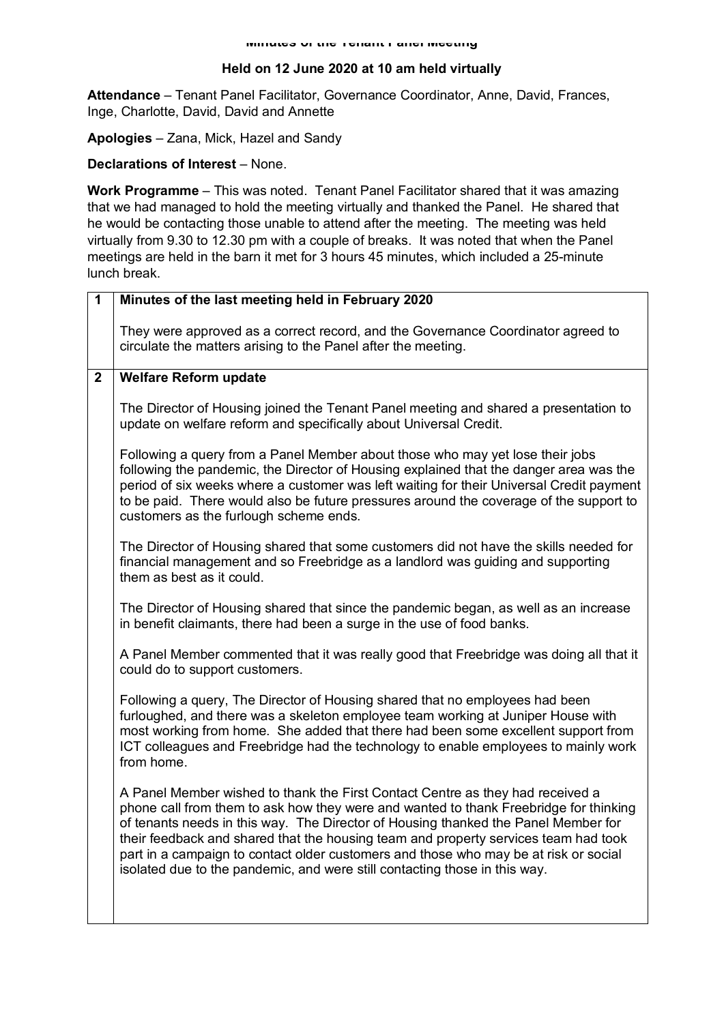## **Held on 12 June 2020 at 10 am held virtually**

**Attendance** – Tenant Panel Facilitator, Governance Coordinator, Anne, David, Frances, Inge, Charlotte, David, David and Annette

**Apologies** – Zana, Mick, Hazel and Sandy

## **Declarations of Interest** – None.

**Work Programme** – This was noted. Tenant Panel Facilitator shared that it was amazing that we had managed to hold the meeting virtually and thanked the Panel. He shared that he would be contacting those unable to attend after the meeting. The meeting was held virtually from 9.30 to 12.30 pm with a couple of breaks. It was noted that when the Panel meetings are held in the barn it met for 3 hours 45 minutes, which included a 25-minute lunch break.

| $\overline{\mathbf{1}}$ | Minutes of the last meeting held in February 2020                                                                                                                                                                                                                                                                                                                                                                                                                                                                          |
|-------------------------|----------------------------------------------------------------------------------------------------------------------------------------------------------------------------------------------------------------------------------------------------------------------------------------------------------------------------------------------------------------------------------------------------------------------------------------------------------------------------------------------------------------------------|
|                         | They were approved as a correct record, and the Governance Coordinator agreed to<br>circulate the matters arising to the Panel after the meeting.                                                                                                                                                                                                                                                                                                                                                                          |
| $\mathbf 2$             | <b>Welfare Reform update</b>                                                                                                                                                                                                                                                                                                                                                                                                                                                                                               |
|                         | The Director of Housing joined the Tenant Panel meeting and shared a presentation to<br>update on welfare reform and specifically about Universal Credit.                                                                                                                                                                                                                                                                                                                                                                  |
|                         | Following a query from a Panel Member about those who may yet lose their jobs<br>following the pandemic, the Director of Housing explained that the danger area was the<br>period of six weeks where a customer was left waiting for their Universal Credit payment<br>to be paid. There would also be future pressures around the coverage of the support to<br>customers as the furlough scheme ends.                                                                                                                    |
|                         | The Director of Housing shared that some customers did not have the skills needed for<br>financial management and so Freebridge as a landlord was guiding and supporting<br>them as best as it could.                                                                                                                                                                                                                                                                                                                      |
|                         | The Director of Housing shared that since the pandemic began, as well as an increase<br>in benefit claimants, there had been a surge in the use of food banks.                                                                                                                                                                                                                                                                                                                                                             |
|                         | A Panel Member commented that it was really good that Freebridge was doing all that it<br>could do to support customers.                                                                                                                                                                                                                                                                                                                                                                                                   |
|                         | Following a query, The Director of Housing shared that no employees had been<br>furloughed, and there was a skeleton employee team working at Juniper House with<br>most working from home. She added that there had been some excellent support from<br>ICT colleagues and Freebridge had the technology to enable employees to mainly work<br>from home.                                                                                                                                                                 |
|                         | A Panel Member wished to thank the First Contact Centre as they had received a<br>phone call from them to ask how they were and wanted to thank Freebridge for thinking<br>of tenants needs in this way. The Director of Housing thanked the Panel Member for<br>their feedback and shared that the housing team and property services team had took<br>part in a campaign to contact older customers and those who may be at risk or social<br>isolated due to the pandemic, and were still contacting those in this way. |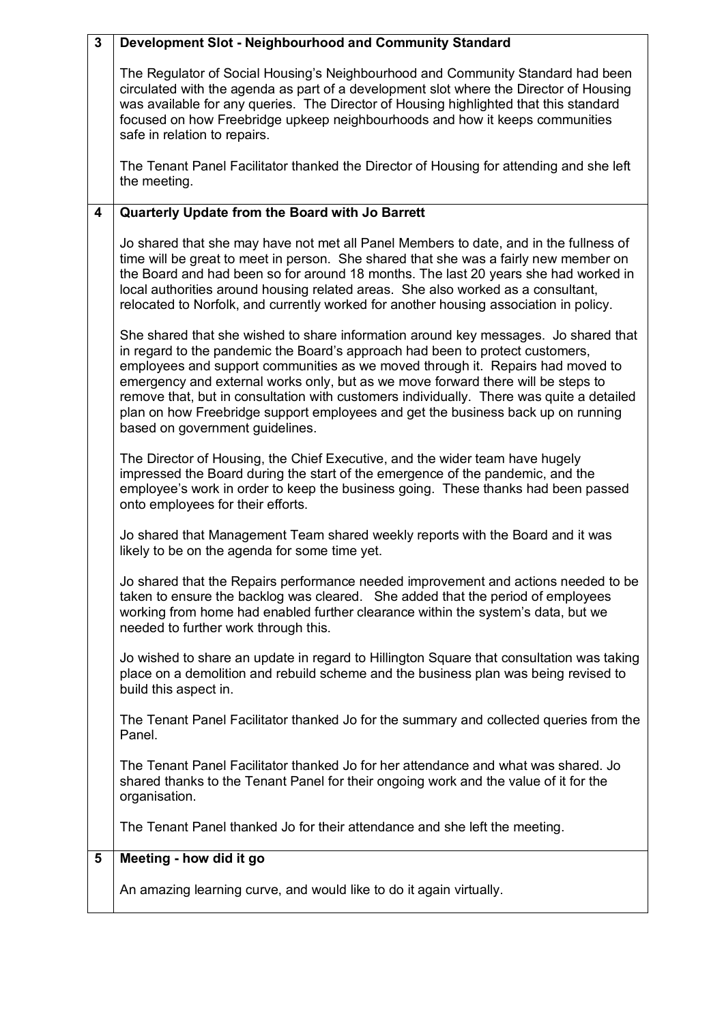| $\mathbf{3}$            | Development Slot - Neighbourhood and Community Standard                                                                                                                                                                                                                                                                                                                                                                                                                                                                                                       |
|-------------------------|---------------------------------------------------------------------------------------------------------------------------------------------------------------------------------------------------------------------------------------------------------------------------------------------------------------------------------------------------------------------------------------------------------------------------------------------------------------------------------------------------------------------------------------------------------------|
|                         | The Regulator of Social Housing's Neighbourhood and Community Standard had been<br>circulated with the agenda as part of a development slot where the Director of Housing<br>was available for any queries. The Director of Housing highlighted that this standard<br>focused on how Freebridge upkeep neighbourhoods and how it keeps communities<br>safe in relation to repairs.                                                                                                                                                                            |
|                         | The Tenant Panel Facilitator thanked the Director of Housing for attending and she left<br>the meeting.                                                                                                                                                                                                                                                                                                                                                                                                                                                       |
| $\overline{\mathbf{4}}$ | Quarterly Update from the Board with Jo Barrett                                                                                                                                                                                                                                                                                                                                                                                                                                                                                                               |
|                         | Jo shared that she may have not met all Panel Members to date, and in the fullness of<br>time will be great to meet in person. She shared that she was a fairly new member on<br>the Board and had been so for around 18 months. The last 20 years she had worked in<br>local authorities around housing related areas. She also worked as a consultant,<br>relocated to Norfolk, and currently worked for another housing association in policy.                                                                                                             |
|                         | She shared that she wished to share information around key messages. Jo shared that<br>in regard to the pandemic the Board's approach had been to protect customers,<br>employees and support communities as we moved through it. Repairs had moved to<br>emergency and external works only, but as we move forward there will be steps to<br>remove that, but in consultation with customers individually. There was quite a detailed<br>plan on how Freebridge support employees and get the business back up on running<br>based on government guidelines. |
|                         | The Director of Housing, the Chief Executive, and the wider team have hugely<br>impressed the Board during the start of the emergence of the pandemic, and the<br>employee's work in order to keep the business going. These thanks had been passed<br>onto employees for their efforts.                                                                                                                                                                                                                                                                      |
|                         | Jo shared that Management Team shared weekly reports with the Board and it was<br>likely to be on the agenda for some time yet.                                                                                                                                                                                                                                                                                                                                                                                                                               |
|                         | Jo shared that the Repairs performance needed improvement and actions needed to be<br>taken to ensure the backlog was cleared. She added that the period of employees<br>working from home had enabled further clearance within the system's data, but we<br>needed to further work through this.                                                                                                                                                                                                                                                             |
|                         | Jo wished to share an update in regard to Hillington Square that consultation was taking<br>place on a demolition and rebuild scheme and the business plan was being revised to<br>build this aspect in.                                                                                                                                                                                                                                                                                                                                                      |
|                         | The Tenant Panel Facilitator thanked Jo for the summary and collected queries from the<br>Panel.                                                                                                                                                                                                                                                                                                                                                                                                                                                              |
|                         | The Tenant Panel Facilitator thanked Jo for her attendance and what was shared. Jo<br>shared thanks to the Tenant Panel for their ongoing work and the value of it for the<br>organisation.                                                                                                                                                                                                                                                                                                                                                                   |
|                         | The Tenant Panel thanked Jo for their attendance and she left the meeting.                                                                                                                                                                                                                                                                                                                                                                                                                                                                                    |
| 5                       | Meeting - how did it go                                                                                                                                                                                                                                                                                                                                                                                                                                                                                                                                       |
|                         | An amazing learning curve, and would like to do it again virtually.                                                                                                                                                                                                                                                                                                                                                                                                                                                                                           |